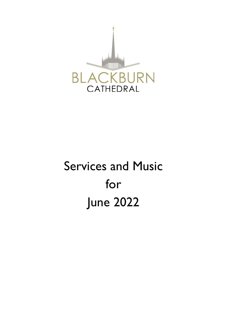

# Services and Music for June 2022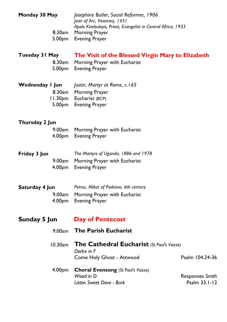**Monday 30 May** *Josephine Butler, Social Reformer, 1906 Joan of Arc, Visionary, 1431 Apolo Kivebulaya, Priest, Evangelist in Central Africa, 1933* 8.30am Morning Prayer

5.00pm Evening Prayer

### **Tuesday 31 May The Visit of the Blessed Virgin Mary to Elizabeth**

8.30am Morning Prayer with Eucharist 5.00pm Evening Prayer

| Wednesday I Jun | Justin, Martyr at Rome, c.165 |
|-----------------|-------------------------------|
|                 | 8.30am Morning Prayer         |
|                 | 11.30pm Eucharist (BCP)       |
|                 | 5.00pm Evening Prayer         |

#### **Thursday 2 Jun**

| 9.00am Morning Prayer with Eucharist |
|--------------------------------------|
| 4.00pm Evening Prayer                |

**Friday 3 Jun** *The Martyrs of Uganda, 1886 and 1978* 9.00am Morning Prayer with Eucharist 4.00pm Evening Prayer

| Saturday 4 Jun | Petroc, Abbot of Padstow, 6th century |
|----------------|---------------------------------------|
|                | 9.00am Morning Prayer with Eucharist  |
|                | 4.00pm Evening Prayer                 |

## **Sunday 5 Jun Day of Pentecost**

9.00am **The Parish Eucharist**

| 10.30am The Cathedral Eucharist (St Paul's Voices) |         |  |
|----------------------------------------------------|---------|--|
| Darke in F                                         |         |  |
| Come Holy Ghost - Attwood                          | Psalm 1 |  |

4.00pm **Choral Evensong** *(St Paul's Voices) Wood in D* Responses *Smith Listen Sweet Dove - Burk* Psalm 33.1-12

04.24-36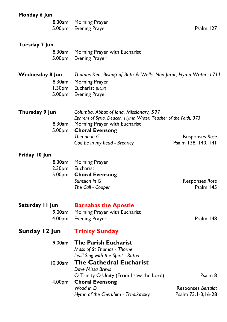| Monday 6 Jun                                               |                                                                                                                                                                       |                                              |
|------------------------------------------------------------|-----------------------------------------------------------------------------------------------------------------------------------------------------------------------|----------------------------------------------|
|                                                            | 8.30am Morning Prayer<br>5.00pm Evening Prayer                                                                                                                        | Psalm 127                                    |
| Tuesday 7 Jun                                              |                                                                                                                                                                       |                                              |
| 8.30am<br>5.00pm                                           | Morning Prayer with Eucharist<br><b>Evening Prayer</b>                                                                                                                |                                              |
| Wednesday 8 Jun<br>8.30am<br>5.00pm                        | Thomas Ken, Bishop of Bath & Wells, Non-Juror, Hymn Writer, 1711<br>Morning Prayer<br>11.30pm Eucharist (BCP)<br><b>Evening Prayer</b>                                |                                              |
| Thursday 9 Jun<br>8.30 <sub>am</sub><br>5.00 <sub>pm</sub> | Columba, Abbot of Iona, Missionary, 597<br>Ephrem of Syria, Deacon, Hymn Writer, Teacher of the Faith, 373<br>Morning Prayer with Eucharist<br><b>Choral Evensong</b> |                                              |
|                                                            | Thiman in G<br>God be in my head - Brearley                                                                                                                           | <b>Responses Rose</b><br>Psalm 138, 140, 141 |
| Friday 10 Jun                                              |                                                                                                                                                                       |                                              |
| 8.30am<br>5.00pm                                           | Morning Prayer<br>12.30pm Eucharist<br><b>Choral Evensong</b><br>Sumsion in G<br>The Call - Cooper                                                                    | Responses Rose<br>Psalm 145                  |
| Saturday II Jun<br>9.00am                                  | <b>Barnabas the Apostle</b><br>Morning Prayer with Eucharist                                                                                                          |                                              |
| 4.00pm                                                     | <b>Evening Prayer</b>                                                                                                                                                 | Psalm 148                                    |
| Sunday 12 Jun                                              | <b>Trinity Sunday</b>                                                                                                                                                 |                                              |
| 9.00am                                                     | <b>The Parish Eucharist</b><br>Mass of St Thomas - Thorne<br>I will Sing with the Spirit - Rutter                                                                     |                                              |
| 10.30am                                                    | <b>The Cathedral Eucharist</b><br>Dove Missa Brevis                                                                                                                   |                                              |
| 4.00pm                                                     | O Trinity O Unity (From I saw the Lord)<br><b>Choral Evensong</b>                                                                                                     | Psalm 8                                      |
|                                                            | Wood in D<br>Hymn of the Cherubim - Tchaikovsky                                                                                                                       | Responses Bertalot<br>Psalm 73.1-3,16-28     |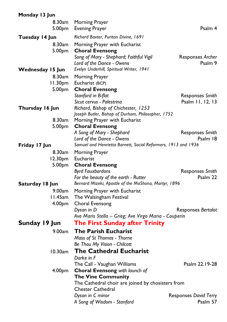## **Monday 13 Jun**

| 8.30am<br>5.00pm                     | Morning Prayer<br><b>Evening Prayer</b>                                                                                                                                     | Psalm 4                     |
|--------------------------------------|-----------------------------------------------------------------------------------------------------------------------------------------------------------------------------|-----------------------------|
| Tuesday 14 Jun                       | Richard Baxter, Puritan Divine, 1691                                                                                                                                        |                             |
| 8.30am<br>5.00pm<br>Wednesday 15 Jun | Morning Prayer with Eucharist<br><b>Choral Evensong</b><br>Song of Mary - Shephard; Faithful Vigil<br>Lord of the Dance - Owens<br>Evelyn Underhill, Spiritual Writer, 1941 | Responses Archer<br>Psalm 9 |
| 8.30am                               | Morning Prayer                                                                                                                                                              |                             |
| 11.30pm<br>5.00 <sub>pm</sub>        | Eucharist (BCP)<br><b>Choral Evensong</b>                                                                                                                                   |                             |
|                                      | Stanford in B-flat                                                                                                                                                          | Responses Smith             |
| Thursday 16 Jun                      | Sicut cervus - Palestrina<br>Richard, Bishop of Chichester, 1253<br>Joseph Butler, Bishop of Durham, Philosopher, 1752                                                      | Psalm 11, 12, 13            |
| 8.30am                               | Morning Prayer with Eucharist                                                                                                                                               |                             |
| 5.00pm                               | <b>Choral Evensong</b><br>A Song of Mary - Shephard<br>Lord of the Dance - Owens                                                                                            | Responses Smith<br>Psalm 18 |
| Friday 17 Jun                        | Samuel and Henrietta Barnett, Social Reformers, 1913 and 1936                                                                                                               |                             |
| 5.00pm                               | 8.30am Morning Prayer<br>12.30pm Eucharist<br><b>Choral Evensong</b>                                                                                                        |                             |
|                                      | <b>Byrd Fauxbordons</b><br>For the beauty of the earth - Rutter                                                                                                             | Responses Smith<br>Psalm 22 |
| Saturday 18 Jun                      | Bernard Mizeki, Apostle of the MaShona, Martyr, 1896                                                                                                                        |                             |
| 9.00am                               | Morning Prayer with Eucharist                                                                                                                                               |                             |
| l I.45am                             | The Walsingham Festival                                                                                                                                                     |                             |
| 4.00 <sub>pm</sub>                   | Choral Evensong<br>Dyson in D<br>Ave Maris Stella - Grieg; Ave Virgo Maria - Couperin                                                                                       | Responses Bertalot          |
| Sunday 19 Jun                        | <b>The First Sunday after Trinity</b>                                                                                                                                       |                             |
| 9.00am                               | <b>The Parish Eucharist</b>                                                                                                                                                 |                             |
|                                      | Mass of St Thomas - Thorne                                                                                                                                                  |                             |
|                                      | Be Thou My Vision - Chilcott                                                                                                                                                |                             |
| 10.30am                              | <b>The Cathedral Eucharist</b><br>Darke in F                                                                                                                                |                             |
|                                      | The Call - Vaughan Williams                                                                                                                                                 | Psalm 22.19-28              |
| 4.00pm                               | Choral Evensong with launch of                                                                                                                                              |                             |
|                                      | <b>The Vine Community</b>                                                                                                                                                   |                             |
|                                      | The Cathedral choir are joined by chosisters from<br><b>Chester Cathedral</b>                                                                                               |                             |
|                                      | Dyson in C minor                                                                                                                                                            | Responses David Terry       |
|                                      | A Song of Wisdom - Stanford                                                                                                                                                 | Psalm 57                    |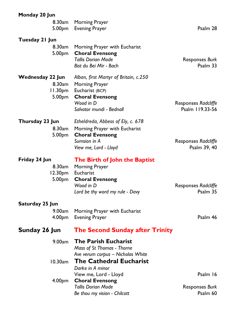| Monday 20 Jun             |                                                                                                                                                              |                                        |
|---------------------------|--------------------------------------------------------------------------------------------------------------------------------------------------------------|----------------------------------------|
|                           | 8.30am Morning Prayer<br>5.00pm Evening Prayer                                                                                                               | Psalm 28                               |
| Tuesday 21 Jun<br>8.30am  | Morning Prayer with Eucharist<br>5.00pm Choral Evensong<br><b>Tallis Dorian Mode</b><br>Bist du Bei Mir - Bach                                               | Responses Burk<br>Psalm 33             |
| Wednesday 22 Jun          | Alban, first Martyr of Britain, c.250<br>8.30am Morning Prayer<br>11.30pm Eucharist (BCP)<br>5.00pm Choral Evensong<br>Wood in D<br>Salvator mundi - Bednall | Responses Radcliffe<br>Psalm 119.33-56 |
| Thursday 23 Jun<br>8.30am | Etheldreda, Abbess of Ely, c. 678<br>Morning Prayer with Eucharist<br>5.00pm Choral Evensong<br>Sumsion in A<br>View me, Lord - Lloyd                        | Responses Radcliffe<br>Psalm 39, 40    |
| Friday 24 Jun<br>8.30am   | The Birth of John the Baptist<br>Morning Prayer<br>12.30pm Eucharist<br>5.00pm Choral Evensong<br>Wood in D<br>Lord be thy word my rule - Davy               | Responses Radcliffe<br>Psalm 35        |
| Saturday 25 Jun           |                                                                                                                                                              |                                        |
| 9.00am                    | Morning Prayer with Eucharist<br>4.00pm Evening Prayer                                                                                                       | Psalm 46                               |
| Sunday 26 Jun             | <b>The Second Sunday after Trinity</b>                                                                                                                       |                                        |
| 9.00am<br>10.30am         | <b>The Parish Eucharist</b><br>Mass of St Thomas - Thorne<br>Ave verum corpus - Nicholas White<br><b>The Cathedral Eucharist</b>                             |                                        |
| 4.00 <sub>pm</sub>        | Darke in A minor<br>View me, Lord - Lloyd<br><b>Choral Evensong</b><br><b>Tallis Dorian Mode</b><br>Be thou my vision - Chilcott                             | Psalm 16<br>Responses Burk<br>Psalm 60 |